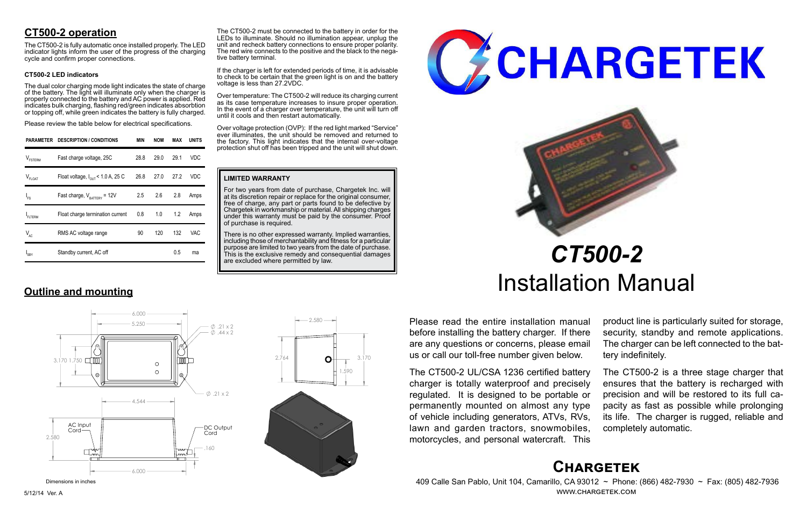# **Chargetek**

 409 Calle San Pablo, Unit 104, Camarillo, CA 93012 ~ Phone: (866) 482-7930 ~ Fax: (805) 482-7936 www.chargetek.com

# **CT500-2 operation**

The dual color charging mode light indicates the state of charge of the battery. The light will illuminate only when the charger is properly connected to the battery and AC power is applied. Red indicates bulk charging, flashing red/green indicates absorbtion or topping off, while green indicates the battery is fully charged.

The CT500-2 is fully automatic once installed properly. The LED indicator lights inform the user of the progress of the charging cycle and confirm proper connections.

#### **CT500-2 LED indicators**

Please review the table below for electrical specifications.

Please read the entire installation manual before installing the battery charger. If there are any questions or concerns, please email us or call our toll-free number given below.

The CT500-2 UL/CSA 1236 certified battery charger is totally waterproof and precisely regulated. It is designed to be portable or permanently mounted on almost any type of vehicle including generators, ATVs, RVs, lawn and garden tractors, snowmobiles, motorcycles, and personal watercraft. This

There is no other expressed warranty. Implied warranties, including those of merchantability and fitness for a particular purpose are limited to two years from the date of purchase. This is the exclusive remedy and consequential damages are excluded where permitted by law.





product line is particularly suited for storage, security, standby and remote applications. The charger can be left connected to the battery indefinitely.

The CT500-2 must be connected to the battery in order for the LEDs to illuminate. Should no illumination appear, unplug the unit and recheck battery connections to ensure proper polarity. The red wire connects to the positive and the black to the nega-<br>tive battery terminal.

> The CT500-2 is a three stage charger that ensures that the battery is recharged with precision and will be restored to its full capacity as fast as possible while prolonging its life. The charger is rugged, reliable and completely automatic.

# *CT500-2* Installation Manual

|                     | PARAMETER DESCRIPTION / CONDITIONS            | <b>MIN</b> | <b>NOM</b> | MAX  | <b>UNITS</b> |
|---------------------|-----------------------------------------------|------------|------------|------|--------------|
| $V_{\text{FSTERM}}$ | Fast charge voltage, 25C                      | 28.8       | 29.0       | 29.1 | VDC          |
| $V_{FLOAT}$         | Float voltage, $I_{\text{out}}$ < 1.0 A, 25 C | 26.8       | 27.0       | 27.2 | VDC          |
| $I_{FS}$            | Fast charge, $V_{\text{rATTARY}}$ = 12V       | 2.5        | 2.6        | 2.8  | Amps         |
| FLTERM              | Float charge termination current              | 0.8        | 1.0        | 1.2  | Amps         |
| $V_{AC}$            | RMS AC voltage range                          | 90         | 120        | 132  | VAC          |
| 'SBY                | Standby current, AC off                       |            |            | 0.5  | ma           |

# **Outline and mounting**

#### **LIMITED WARRANTY**

For two years from date of purchase, Chargetek Inc. will at its discretion repair or replace for the original consumer, free of charge, any part or parts found to be defective by Chargetek in workmanship or material. All shipping charges under this warranty must be paid by the consumer. Proof of purchase is required.

If the charger is left for extended periods of time, it is advisable to check to be certain that the green light is on and the battery voltage is less than 27.2VDC.

Over temperature: The CT500-2 will reduce its charging current as its case temperature increases to insure proper operation. In the event of a charger over temperature, the unit will turn off until it cools and then restart automatically.

Over voltage protection (OVP): If the red light marked "Service" ever illuminates, the unit should be removed and returned to the factory. This light indicates that the internal over-voltage protection shut off has been tripped and the unit will shut down.





Dimensions in inches